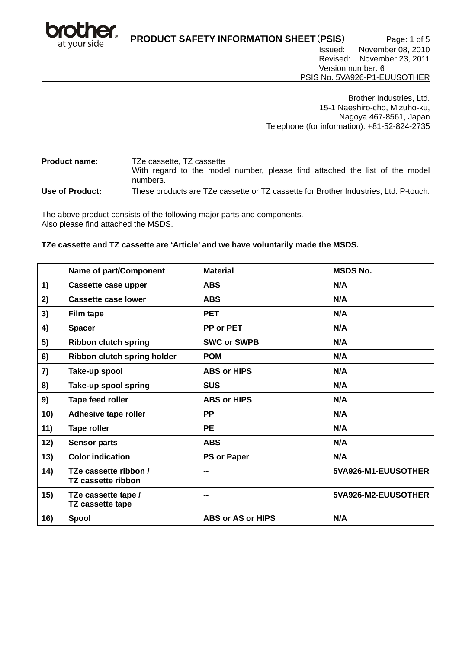

**PRODUCT SAFETY INFORMATION SHEET**(**PSIS**) Page: 1 of 5 Issued: November 08, 2010 Revised: November 23, 2011

Version number: 6 PSIS No. 5VA926-P1-EUUSOTHER

Brother Industries, Ltd. 15-1 Naeshiro-cho, Mizuho-ku, Nagoya 467-8561, Japan Telephone (for information): +81-52-824-2735

**Product name:** TZe cassette, TZ cassette With regard to the model number, please find attached the list of the model numbers.

**Use of Product:** These products are TZe cassette or TZ cassette for Brother Industries, Ltd. P-touch.

The above product consists of the following major parts and components. Also please find attached the MSDS.

# **TZe cassette and TZ cassette are 'Article' and we have voluntarily made the MSDS.**

|     | Name of part/Component                      | <b>Material</b>          | <b>MSDS No.</b>     |
|-----|---------------------------------------------|--------------------------|---------------------|
| 1)  | Cassette case upper                         | <b>ABS</b>               | N/A                 |
| 2)  | <b>Cassette case lower</b>                  | <b>ABS</b>               | N/A                 |
| 3)  | <b>Film tape</b>                            | <b>PET</b>               | N/A                 |
| 4)  | <b>Spacer</b>                               | PP or PET                | N/A                 |
| 5)  | <b>Ribbon clutch spring</b>                 | <b>SWC or SWPB</b>       | N/A                 |
| 6)  | Ribbon clutch spring holder                 | <b>POM</b>               | N/A                 |
| 7)  | Take-up spool                               | <b>ABS or HIPS</b>       | N/A                 |
| 8)  | Take-up spool spring                        | <b>SUS</b>               | N/A                 |
| 9)  | Tape feed roller                            | <b>ABS or HIPS</b>       | N/A                 |
| 10) | Adhesive tape roller                        | <b>PP</b>                | N/A                 |
| 11) | <b>Tape roller</b>                          | <b>PE</b>                | N/A                 |
| 12) | <b>Sensor parts</b>                         | <b>ABS</b>               | N/A                 |
| 13) | <b>Color indication</b>                     | <b>PS or Paper</b>       | N/A                 |
| 14) | TZe cassette ribbon /<br>TZ cassette ribbon | --                       | 5VA926-M1-EUUSOTHER |
| 15) | TZe cassette tape /<br>TZ cassette tape     |                          | 5VA926-M2-EUUSOTHER |
| 16) | Spool                                       | <b>ABS or AS or HIPS</b> | N/A                 |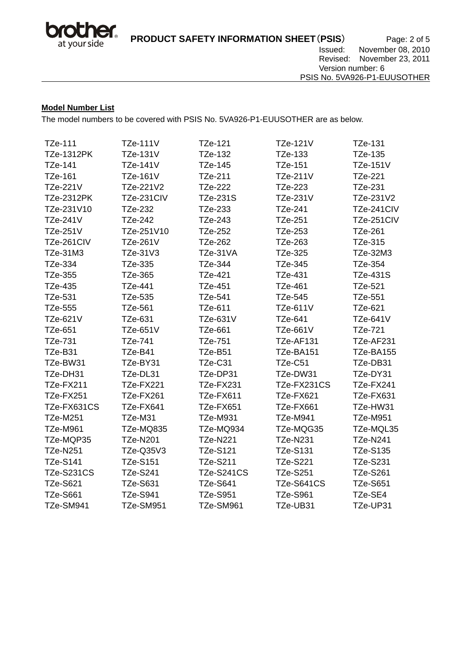

# **Model Number List**

The model numbers to be covered with PSIS No. 5VA926-P1-EUUSOTHER are as below.

| TZe-111           | <b>TZe-111V</b> | TZe-121           | <b>TZe-121V</b> | TZe-131         |
|-------------------|-----------------|-------------------|-----------------|-----------------|
| <b>TZe-1312PK</b> | <b>TZe-131V</b> | TZe-132           | TZe-133         | TZe-135         |
| TZe-141           | TZe-141V        | TZe-145           | <b>TZe-151</b>  | <b>TZe-151V</b> |
| TZe-161           | TZe-161V        | TZe-211           | <b>TZe-211V</b> | TZe-221         |
| TZe-221V          | TZe-221V2       | TZe-222           | TZe-223         | TZe-231         |
| <b>TZe-2312PK</b> | TZe-231CIV      | TZe-231S          | TZe-231V        | TZe-231V2       |
| TZe-231V10        | TZe-232         | TZe-233           | TZe-241         | TZe-241CIV      |
| <b>TZe-241V</b>   | TZe-242         | TZe-243           | TZe-251         | TZe-251CIV      |
| <b>TZe-251V</b>   | TZe-251V10      | TZe-252           | TZe-253         | <b>TZe-261</b>  |
| TZe-261CIV        | TZe-261V        | <b>TZe-262</b>    | TZe-263         | TZe-315         |
| TZe-31M3          | TZe-31V3        | TZe-31VA          | TZe-325         | TZe-32M3        |
| TZe-334           | TZe-335         | TZe-344           | TZe-345         | TZe-354         |
| TZe-355           | TZe-365         | TZe-421           | TZe-431         | <b>TZe-431S</b> |
| TZe-435           | TZe-441         | TZe-451           | TZe-461         | TZe-521         |
| TZe-531           | TZe-535         | TZe-541           | <b>TZe-545</b>  | <b>TZe-551</b>  |
| <b>TZe-555</b>    | TZe-561         | TZe-611           | <b>TZe-611V</b> | TZe-621         |
| TZe-621V          | TZe-631         | TZe-631V          | <b>TZe-641</b>  | <b>TZe-641V</b> |
| <b>TZe-651</b>    | TZe-651V        | TZe-661           | <b>TZe-661V</b> | TZe-721         |
| TZe-731           | TZe-741         | <b>TZe-751</b>    | TZe-AF131       | TZe-AF231       |
| TZe-B31           | TZe-B41         | TZe-B51           | TZe-BA151       | TZe-BA155       |
| TZe-BW31          | TZe-BY31        | TZe-C31           | TZe-C51         | TZe-DB31        |
| TZe-DH31          | TZe-DL31        | TZe-DP31          | TZe-DW31        | TZe-DY31        |
| TZe-FX211         | TZe-FX221       | TZe-FX231         | TZe-FX231CS     | TZe-FX241       |
| TZe-FX251         | TZe-FX261       | TZe-FX611         | TZe-FX621       | TZe-FX631       |
| TZe-FX631CS       | TZe-FX641       | TZe-FX651         | TZe-FX661       | TZe-HW31        |
| <b>TZe-M251</b>   | TZe-M31         | <b>TZe-M931</b>   | <b>TZe-M941</b> | <b>TZe-M951</b> |
| <b>TZe-M961</b>   | TZe-MQ835       | TZe-MQ934         | TZe-MQG35       | TZe-MQL35       |
| TZe-MQP35         | <b>TZe-N201</b> | <b>TZe-N221</b>   | <b>TZe-N231</b> | <b>TZe-N241</b> |
| <b>TZe-N251</b>   | TZe-Q35V3       | <b>TZe-S121</b>   | <b>TZe-S131</b> | <b>TZe-S135</b> |
| <b>TZe-S141</b>   | <b>TZe-S151</b> | <b>TZe-S211</b>   | <b>TZe-S221</b> | <b>TZe-S231</b> |
| <b>TZe-S231CS</b> | <b>TZe-S241</b> | <b>TZe-S241CS</b> | <b>TZe-S251</b> | <b>TZe-S261</b> |
| <b>TZe-S621</b>   | TZe-S631        | <b>TZe-S641</b>   | TZe-S641CS      | <b>TZe-S651</b> |
| <b>TZe-S661</b>   | <b>TZe-S941</b> | <b>TZe-S951</b>   | <b>TZe-S961</b> | TZe-SE4         |
| TZe-SM941         | TZe-SM951       | TZe-SM961         | TZe-UB31        | TZe-UP31        |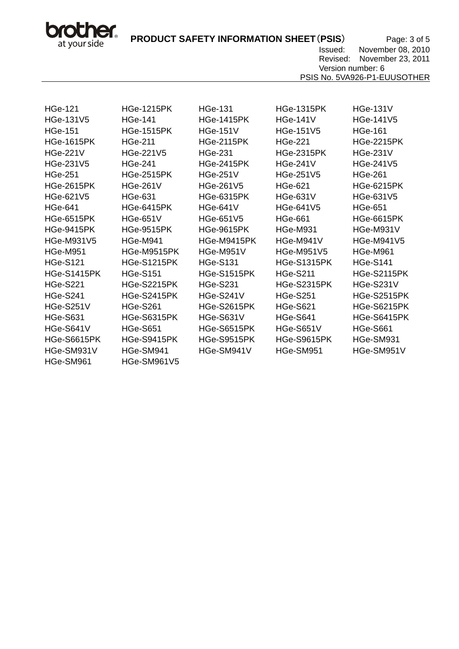bro her. at your side

**PRODUCT SAFETY INFORMATION SHEET (PSIS)** Page: 3 of 5

 Issued: November 08, 2010 Revised: November 23, 2011 Version number: 6

PSIS No. 5VA926-P1-EUUSOTHER

| <b>HGe-121</b>     | <b>HGe-1215PK</b>  | <b>HGe-131</b>     | <b>HGe-1315PK</b>  | <b>HGe-131V</b>    |
|--------------------|--------------------|--------------------|--------------------|--------------------|
| <b>HGe-131V5</b>   | <b>HGe-141</b>     | <b>HGe-1415PK</b>  | <b>HGe-141V</b>    | HGe-141V5          |
| <b>HGe-151</b>     | <b>HGe-1515PK</b>  | <b>HGe-151V</b>    | <b>HGe-151V5</b>   | <b>HGe-161</b>     |
| <b>HGe-1615PK</b>  | <b>HGe-211</b>     | <b>HGe-2115PK</b>  | <b>HGe-221</b>     | <b>HGe-2215PK</b>  |
| <b>HGe-221V</b>    | HGe-221V5          | <b>HGe-231</b>     | <b>HGe-2315PK</b>  | <b>HGe-231V</b>    |
| HGe-231V5          | <b>HGe-241</b>     | <b>HGe-2415PK</b>  | <b>HGe-241V</b>    | HGe-241V5          |
| <b>HGe-251</b>     | <b>HGe-2515PK</b>  | <b>HGe-251V</b>    | HGe-251V5          | <b>HGe-261</b>     |
| <b>HGe-2615PK</b>  | <b>HGe-261V</b>    | <b>HGe-261V5</b>   | <b>HGe-621</b>     | <b>HGe-6215PK</b>  |
| HGe-621V5          | HGe-631            | <b>HGe-6315PK</b>  | <b>HGe-631V</b>    | <b>HGe-631V5</b>   |
| <b>HGe-641</b>     | <b>HGe-6415PK</b>  | <b>HGe-641V</b>    | HGe-641V5          | <b>HGe-651</b>     |
| <b>HGe-6515PK</b>  | <b>HGe-651V</b>    | <b>HGe-651V5</b>   | <b>HGe-661</b>     | <b>HGe-6615PK</b>  |
| <b>HGe-9415PK</b>  | <b>HGe-9515PK</b>  | <b>HGe-9615PK</b>  | <b>HGe-M931</b>    | HGe-M931V          |
| <b>HGe-M931V5</b>  | <b>HGe-M941</b>    | HGe-M9415PK        | HGe-M941V          | <b>HGe-M941V5</b>  |
| <b>HGe-M951</b>    | HGe-M9515PK        | HGe-M951V          | <b>HGe-M951V5</b>  | <b>HGe-M961</b>    |
| <b>HGe-S121</b>    | <b>HGe-S1215PK</b> | <b>HGe-S131</b>    | <b>HGe-S1315PK</b> | <b>HGe-S141</b>    |
| <b>HGe-S1415PK</b> | <b>HGe-S151</b>    | <b>HGe-S1515PK</b> | <b>HGe-S211</b>    | <b>HGe-S2115PK</b> |
| <b>HGe-S221</b>    | <b>HGe-S2215PK</b> | <b>HGe-S231</b>    | <b>HGe-S2315PK</b> | <b>HGe-S231V</b>   |
| <b>HGe-S241</b>    | <b>HGe-S2415PK</b> | <b>HGe-S241V</b>   | <b>HGe-S251</b>    | <b>HGe-S2515PK</b> |
| <b>HGe-S251V</b>   | <b>HGe-S261</b>    | <b>HGe-S2615PK</b> | <b>HGe-S621</b>    | <b>HGe-S6215PK</b> |
| <b>HGe-S631</b>    | <b>HGe-S6315PK</b> | <b>HGe-S631V</b>   | <b>HGe-S641</b>    | HGe-S6415PK        |
| HGe-S641V          | <b>HGe-S651</b>    | <b>HGe-S6515PK</b> | HGe-S651V          | <b>HGe-S661</b>    |
| <b>HGe-S6615PK</b> | HGe-S9415PK        | <b>HGe-S9515PK</b> | <b>HGe-S9615PK</b> | HGe-SM931          |
| HGe-SM931V         | HGe-SM941          | HGe-SM941V         | HGe-SM951          | HGe-SM951V         |
| HGe-SM961          | HGe-SM961V5        |                    |                    |                    |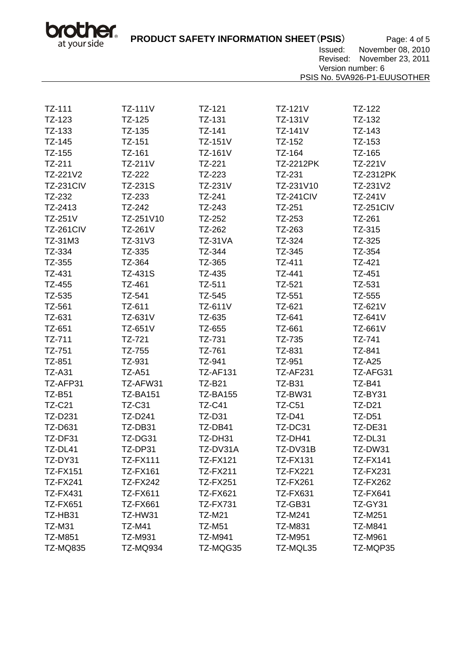bro her. at your side

**PRODUCT SAFETY INFORMATION SHEET**(**PSIS**) Page: 4 of 5

Issued: November 08, 2010

Revised: November 23, 2011

Version number: 6

PSIS No. 5VA926-P1-EUUSOTHER

| TZ-111           | <b>TZ-111V</b>  | TZ-121          | TZ-121V          | TZ-122           |
|------------------|-----------------|-----------------|------------------|------------------|
| TZ-123           | TZ-125          | TZ-131          | <b>TZ-131V</b>   | TZ-132           |
| TZ-133           | TZ-135          | TZ-141          | TZ-141V          | TZ-143           |
| TZ-145           | TZ-151          | TZ-151V         | TZ-152           | TZ-153           |
| TZ-155           | TZ-161          | TZ-161V         | TZ-164           | TZ-165           |
| TZ-211           | TZ-211V         | TZ-221          | <b>TZ-2212PK</b> | TZ-221V          |
| TZ-221V2         | TZ-222          | TZ-223          | TZ-231           | <b>TZ-2312PK</b> |
| <b>TZ-231CIV</b> | TZ-231S         | TZ-231V         | TZ-231V10        | TZ-231V2         |
| TZ-232           | TZ-233          | TZ-241          | <b>TZ-241CIV</b> | TZ-241V          |
| TZ-2413          | TZ-242          | TZ-243          | TZ-251           | <b>TZ-251CIV</b> |
| TZ-251V          | TZ-251V10       | TZ-252          | TZ-253           | TZ-261           |
| <b>TZ-261CIV</b> | TZ-261V         | TZ-262          | TZ-263           | TZ-315           |
| TZ-31M3          | TZ-31V3         | <b>TZ-31VA</b>  | TZ-324           | TZ-325           |
| TZ-334           | TZ-335          | TZ-344          | TZ-345           | TZ-354           |
| TZ-355           | TZ-364          | TZ-365          | TZ-411           | TZ-421           |
| TZ-431           | <b>TZ-431S</b>  | TZ-435          | TZ-441           | TZ-451           |
| TZ-455           | TZ-461          | TZ-511          | TZ-521           | TZ-531           |
| TZ-535           | TZ-541          | TZ-545          | TZ-551           | TZ-555           |
| TZ-561           | TZ-611          | TZ-611V         | TZ-621           | TZ-621V          |
| TZ-631           | TZ-631V         | TZ-635          | TZ-641           | <b>TZ-641V</b>   |
| TZ-651           | TZ-651V         | TZ-655          | TZ-661           | TZ-661V          |
| TZ-711           | TZ-721          | TZ-731          | TZ-735           | TZ-741           |
| TZ-751           | TZ-755          | TZ-761          | TZ-831           | TZ-841           |
| TZ-851           | TZ-931          | TZ-941          | TZ-951           | <b>TZ-A25</b>    |
| <b>TZ-A31</b>    | <b>TZ-A51</b>   | <b>TZ-AF131</b> | <b>TZ-AF231</b>  | TZ-AFG31         |
| TZ-AFP31         | TZ-AFW31        | <b>TZ-B21</b>   | <b>TZ-B31</b>    | <b>TZ-B41</b>    |
| <b>TZ-B51</b>    | <b>TZ-BA151</b> | <b>TZ-BA155</b> | TZ-BW31          | TZ-BY31          |
| <b>TZ-C21</b>    | <b>TZ-C31</b>   | <b>TZ-C41</b>   | <b>TZ-C51</b>    | <b>TZ-D21</b>    |
| TZ-D231          | TZ-D241         | <b>TZ-D31</b>   | <b>TZ-D41</b>    | <b>TZ-D51</b>    |
| <b>TZ-D631</b>   | TZ-DB31         | TZ-DB41         | TZ-DC31          | TZ-DE31          |
| TZ-DF31          | TZ-DG31         | TZ-DH31         | TZ-DH41          | TZ-DL31          |
| TZ-DL41          | TZ-DP31         | TZ-DV31A        | TZ-DV31B         | TZ-DW31          |
| TZ-DY31          | <b>TZ-FX111</b> | <b>TZ-FX121</b> | <b>TZ-FX131</b>  | <b>TZ-FX141</b>  |
| <b>TZ-FX151</b>  | <b>TZ-FX161</b> | <b>TZ-FX211</b> | <b>TZ-FX221</b>  | <b>TZ-FX231</b>  |
| <b>TZ-FX241</b>  | <b>TZ-FX242</b> | <b>TZ-FX251</b> | <b>TZ-FX261</b>  | <b>TZ-FX262</b>  |
| <b>TZ-FX431</b>  | <b>TZ-FX611</b> | <b>TZ-FX621</b> | <b>TZ-FX631</b>  | <b>TZ-FX641</b>  |
| <b>TZ-FX651</b>  | <b>TZ-FX661</b> | <b>TZ-FX731</b> | TZ-GB31          | <b>TZ-GY31</b>   |
| TZ-HB31          | TZ-HW31         | <b>TZ-M21</b>   | TZ-M241          | <b>TZ-M251</b>   |
| <b>TZ-M31</b>    | <b>TZ-M41</b>   | <b>TZ-M51</b>   | <b>TZ-M831</b>   | <b>TZ-M841</b>   |
| <b>TZ-M851</b>   | <b>TZ-M931</b>  | TZ-M941         | <b>TZ-M951</b>   | <b>TZ-M961</b>   |
| <b>TZ-MQ835</b>  | <b>TZ-MQ934</b> | TZ-MQG35        | TZ-MQL35         | TZ-MQP35         |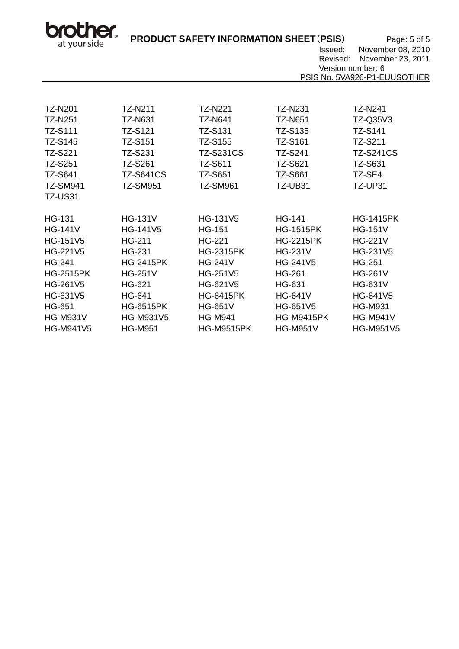bro her. at your side

**PRODUCT SAFETY INFORMATION SHEET**(**PSIS**) Page: 5 of 5

 Issued: November 08, 2010 Revised: November 23, 2011

Version number: 6 PSIS No. 5VA926-P1-EUUSOTHER

| <b>TZ-N201</b>   | TZ-N211          | TZ-N221           | TZ-N231           | TZ-N241          |
|------------------|------------------|-------------------|-------------------|------------------|
| <b>TZ-N251</b>   | <b>TZ-N631</b>   | <b>TZ-N641</b>    | <b>TZ-N651</b>    | TZ-Q35V3         |
| <b>TZ-S111</b>   | <b>TZ-S121</b>   | <b>TZ-S131</b>    | <b>TZ-S135</b>    | <b>TZ-S141</b>   |
| <b>TZ-S145</b>   | <b>TZ-S151</b>   | TZ-S155           | <b>TZ-S161</b>    | <b>TZ-S211</b>   |
| <b>TZ-S221</b>   | TZ-S231          | <b>TZ-S231CS</b>  | <b>TZ-S241</b>    | <b>TZ-S241CS</b> |
| <b>TZ-S251</b>   | <b>TZ-S261</b>   | <b>TZ-S611</b>    | <b>TZ-S621</b>    | <b>TZ-S631</b>   |
| <b>TZ-S641</b>   | TZ-S641CS        | <b>TZ-S651</b>    | <b>TZ-S661</b>    | TZ-SE4           |
| <b>TZ-SM941</b>  | <b>TZ-SM951</b>  | TZ-SM961          | TZ-UB31           | TZ-UP31          |
| <b>TZ-US31</b>   |                  |                   |                   |                  |
|                  |                  |                   |                   |                  |
| <b>HG-131</b>    | <b>HG-131V</b>   | HG-131V5          | <b>HG-141</b>     | <b>HG-1415PK</b> |
| <b>HG-141V</b>   | <b>HG-141V5</b>  | <b>HG-151</b>     | <b>HG-1515PK</b>  | <b>HG-151V</b>   |
| HG-151V5         | <b>HG-211</b>    | <b>HG-221</b>     | <b>HG-2215PK</b>  | <b>HG-221V</b>   |
| HG-221V5         | HG-231           | <b>HG-2315PK</b>  | <b>HG-231V</b>    | HG-231V5         |
| <b>HG-241</b>    | <b>HG-2415PK</b> | <b>HG-241V</b>    | HG-241V5          | <b>HG-251</b>    |
| <b>HG-2515PK</b> | <b>HG-251V</b>   | HG-251V5          | <b>HG-261</b>     | <b>HG-261V</b>   |
| HG-261V5         | HG-621           | HG-621V5          | HG-631            | <b>HG-631V</b>   |
| HG-631V5         | <b>HG-641</b>    | <b>HG-6415PK</b>  | <b>HG-641V</b>    | HG-641V5         |
| <b>HG-651</b>    | <b>HG-6515PK</b> | <b>HG-651V</b>    | HG-651V5          | <b>HG-M931</b>   |
| <b>HG-M931V</b>  | <b>HG-M931V5</b> | <b>HG-M941</b>    | <b>HG-M9415PK</b> | <b>HG-M941V</b>  |
| <b>HG-M941V5</b> | <b>HG-M951</b>   | <b>HG-M9515PK</b> | <b>HG-M951V</b>   | <b>HG-M951V5</b> |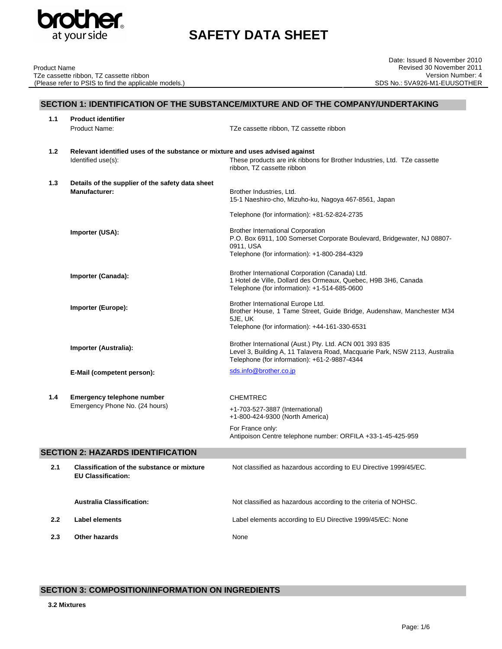

TZe cassette ribbon, TZ cassette ribbon

(Please refer to PSIS to find the applicable models.)

Product Name

# **SAFETY DATA SHEET**

| SECTION 1: IDENTIFICATION OF THE SUBSTANCE/MIXTURE AND OF THE COMPANY/UNDERTAKING |
|-----------------------------------------------------------------------------------|
| Droduct idontifior                                                                |

| 1.1 | Product Identifier                                                            |                                                                                                                            |
|-----|-------------------------------------------------------------------------------|----------------------------------------------------------------------------------------------------------------------------|
|     | Product Name:                                                                 | TZe cassette ribbon, TZ cassette ribbon                                                                                    |
|     |                                                                               |                                                                                                                            |
| 1.2 | Relevant identified uses of the substance or mixture and uses advised against |                                                                                                                            |
|     | Identified use(s):                                                            | These products are ink ribbons for Brother Industries, Ltd. TZe cassette<br>ribbon, TZ cassette ribbon                     |
| 1.3 | Details of the supplier of the safety data sheet                              |                                                                                                                            |
|     | <b>Manufacturer:</b>                                                          | Brother Industries, Ltd.                                                                                                   |
|     |                                                                               | 15-1 Naeshiro-cho, Mizuho-ku, Nagoya 467-8561, Japan                                                                       |
|     |                                                                               |                                                                                                                            |
|     |                                                                               | Telephone (for information): +81-52-824-2735                                                                               |
|     | Importer (USA):                                                               | <b>Brother International Corporation</b>                                                                                   |
|     |                                                                               | P.O. Box 6911, 100 Somerset Corporate Boulevard, Bridgewater, NJ 08807-                                                    |
|     |                                                                               | 0911, USA                                                                                                                  |
|     |                                                                               | Telephone (for information): +1-800-284-4329                                                                               |
|     |                                                                               | Brother International Corporation (Canada) Ltd.                                                                            |
|     | Importer (Canada):                                                            | 1 Hotel de Ville, Dollard des Ormeaux, Quebec, H9B 3H6, Canada                                                             |
|     |                                                                               | Telephone (for information): +1-514-685-0600                                                                               |
|     |                                                                               |                                                                                                                            |
|     | Importer (Europe):                                                            | Brother International Europe Ltd.<br>Brother House, 1 Tame Street, Guide Bridge, Audenshaw, Manchester M34                 |
|     |                                                                               | 5JE, UK                                                                                                                    |
|     |                                                                               | Telephone (for information): +44-161-330-6531                                                                              |
|     |                                                                               |                                                                                                                            |
|     | Importer (Australia):                                                         | Brother International (Aust.) Pty. Ltd. ACN 001 393 835                                                                    |
|     |                                                                               | Level 3, Building A, 11 Talavera Road, Macquarie Park, NSW 2113, Australia<br>Telephone (for information): +61-2-9887-4344 |
|     |                                                                               | sds.info@brother.co.jp                                                                                                     |
|     | E-Mail (competent person):                                                    |                                                                                                                            |
|     |                                                                               |                                                                                                                            |
| 1.4 | Emergency telephone number                                                    | <b>CHEMTREC</b>                                                                                                            |
|     | Emergency Phone No. (24 hours)                                                | +1-703-527-3887 (International)                                                                                            |
|     |                                                                               | +1-800-424-9300 (North America)                                                                                            |
|     |                                                                               | For France only:                                                                                                           |
|     |                                                                               | Antipoison Centre telephone number: ORFILA +33-1-45-425-959                                                                |
|     | <b>SECTION 2: HAZARDS IDENTIFICATION</b>                                      |                                                                                                                            |
| 2.1 | <b>Classification of the substance or mixture</b>                             | Not classified as hazardous according to EU Directive 1999/45/EC.                                                          |
|     | <b>EU Classification:</b>                                                     |                                                                                                                            |
|     |                                                                               |                                                                                                                            |

**Australia Classification:** Not classified as hazardous according to the criteria of NOHSC. **2.2 Label elements** Label elements according to EU Directive 1999/45/EC: None **2.3 Other hazards** None

# **SECTION 3: COMPOSITION/INFORMATION ON INGREDIENTS**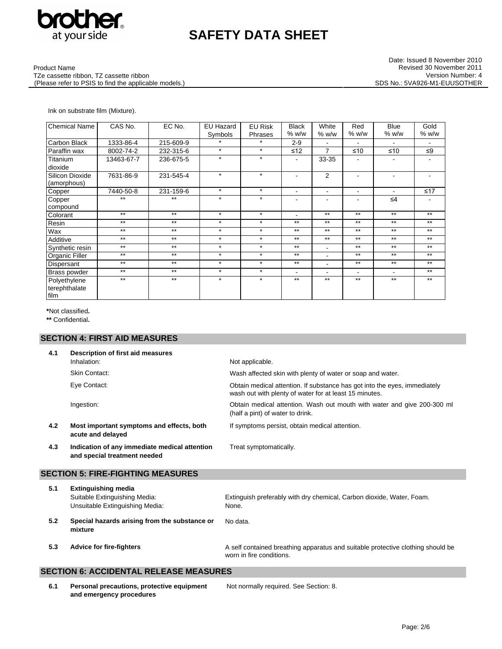

Date: Issued 8 November 2010 Revised 30 November 2011 Version Number: 4 SDS No.: 5VA926-M1-EUUSOTHER

Product Name

TZe cassette ribbon, TZ cassette ribbon (Please refer to PSIS to find the applicable models.)

### Ink on substrate film (Mixture).

| <b>Chemical Name</b> | CAS No.    | EC No.    | <b>EU Hazard</b> | <b>EU Risk</b> | <b>Black</b>   | White                    | Red                      | Blue                     | Gold                     |
|----------------------|------------|-----------|------------------|----------------|----------------|--------------------------|--------------------------|--------------------------|--------------------------|
|                      |            |           | Symbols          | Phrases        | % w/w          | % w/w                    | % w/w                    | % w/w                    | % w/w                    |
| Carbon Black         | 1333-86-4  | 215-609-9 | $\star$          | $\star$        | $2 - 9$        | $\overline{\phantom{a}}$ | $\blacksquare$           | $\blacksquare$           | $\overline{\phantom{a}}$ |
| Paraffin wax         | 8002-74-2  | 232-315-6 | $\star$          | $\star$        | ≤12            | $\overline{7}$           | ≤10                      | $≤10$                    | ≤9                       |
| Titanium             | 13463-67-7 | 236-675-5 | $\star$          | $\star$        |                | 33-35                    |                          |                          |                          |
| dioxide              |            |           |                  |                |                |                          |                          |                          |                          |
| Silicon Dioxide      | 7631-86-9  | 231-545-4 | $\star$          | $\star$        | $\blacksquare$ | $\overline{2}$           | $\blacksquare$           |                          | $\overline{\phantom{a}}$ |
| (amorphous)          |            |           |                  |                |                |                          |                          |                          |                          |
| Copper               | 7440-50-8  | 231-159-6 | $\star$          | $\star$        | $\blacksquare$ | $\blacksquare$           |                          |                          | ≤17                      |
| Copper               | $***$      | $***$     | $\star$          | $\star$        | ٠              | ٠                        | $\blacksquare$           | $\leq 4$                 | $\overline{\phantom{a}}$ |
| compound             |            |           |                  |                |                |                          |                          |                          |                          |
| Colorant             | $***$      | $***$     | $\star$          | $\star$        |                | $***$                    | $***$                    | $***$                    | $***$                    |
| Resin                | $**$       | $**$      | $\star$          | $\star$        | $***$          | $***$                    | $***$                    | $**$                     | $**$                     |
| Wax                  | $***$      | $***$     | $\star$          | $\star$        | $***$          | $***$                    | $***$                    | $***$                    | $***$                    |
| Additive             | $***$      | $***$     | $\star$          | $\star$        | $***$          | $***$                    | $***$                    | $***$                    | $***$                    |
| Synthetic resin      | $***$      | $***$     | $\star$          | $\star$        | $***$          | $\overline{\phantom{a}}$ | $***$                    | $***$                    | $***$                    |
| Organic Filler       | $**$       | $**$      | $\star$          | $\star$        | $**$           | ٠                        | $***$                    | $**$                     | $**$                     |
| Dispersant           | $***$      | $***$     | $\star$          | $\star$        | $***$          | $\blacksquare$           | $***$                    | $***$                    | $***$                    |
| Brass powder         | $***$      | $***$     | $\star$          | $\star$        | $\blacksquare$ | $\blacksquare$           | $\overline{\phantom{0}}$ | $\overline{\phantom{0}}$ | $***$                    |
| Polyethylene         | $***$      | $***$     | $\star$          | $\star$        | $***$          | $**$                     | $***$                    | $***$                    | $***$                    |
| terephthalate        |            |           |                  |                |                |                          |                          |                          |                          |
| film                 |            |           |                  |                |                |                          |                          |                          |                          |

**\***Not classified**.** 

**\*\*** Confidential**.**

# **SECTION 4: FIRST AID MEASURES**

| 4.1 | Description of first aid measures                                             |                                                                                                                                     |
|-----|-------------------------------------------------------------------------------|-------------------------------------------------------------------------------------------------------------------------------------|
|     | Inhalation:                                                                   | Not applicable.                                                                                                                     |
|     | <b>Skin Contact:</b>                                                          | Wash affected skin with plenty of water or soap and water.                                                                          |
|     | Eye Contact:                                                                  | Obtain medical attention. If substance has got into the eyes, immediately<br>wash out with plenty of water for at least 15 minutes. |
|     | Ingestion:                                                                    | Obtain medical attention. Wash out mouth with water and give 200-300 ml<br>(half a pint) of water to drink.                         |
| 4.2 | Most important symptoms and effects, both<br>acute and delayed                | If symptoms persist, obtain medical attention.                                                                                      |
| 4.3 | Indication of any immediate medical attention<br>and special treatment needed | Treat symptomatically.                                                                                                              |
|     | <b>SECTION 5: FIRE-FIGHTING MEASURES</b>                                      |                                                                                                                                     |
| 5.1 | <b>Extinguishing media</b>                                                    |                                                                                                                                     |
|     | Suitable Extinguishing Media:<br>Unsuitable Extinguishing Media:              | Extinguish preferably with dry chemical, Carbon dioxide, Water, Foam.<br>None.                                                      |
| 5.2 | Special hazards arising from the substance or<br>mixture                      | No data.                                                                                                                            |
| 5.3 | <b>Advice for fire-fighters</b>                                               | A self contained breathing apparatus and suitable protective clothing should be<br>worn in fire conditions.                         |
|     |                                                                               |                                                                                                                                     |

# **SECTION 6: ACCIDENTAL RELEASE MEASURES**

**6.1 Personal precautions, protective equipment and emergency procedures**

Not normally required. See Section: 8.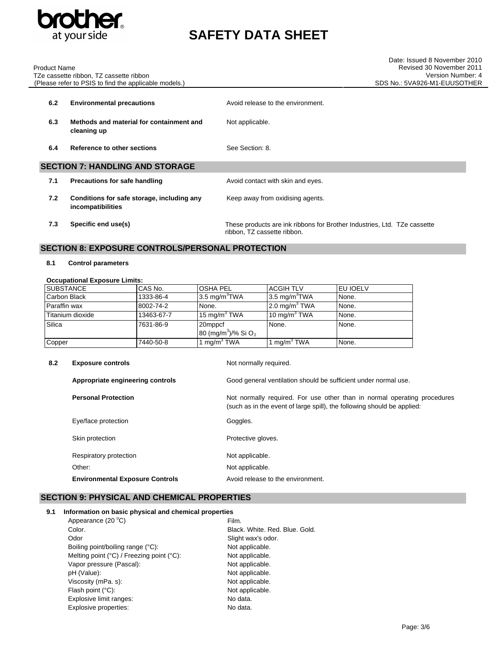

TZe cassette ribbon, TZ cassette ribbon

Product Name

# **SAFETY DATA SHEET**

|     | (Please refer to PSIS to find the applicable models.)           | SDS No.: 5VA926-M1-EUUSOTHER                                                                            |
|-----|-----------------------------------------------------------------|---------------------------------------------------------------------------------------------------------|
| 6.2 | <b>Environmental precautions</b>                                | Avoid release to the environment.                                                                       |
| 6.3 | Methods and material for containment and<br>cleaning up         | Not applicable.                                                                                         |
| 6.4 | Reference to other sections                                     | See Section: 8.                                                                                         |
|     | <b>SECTION 7: HANDLING AND STORAGE</b>                          |                                                                                                         |
| 7.1 | Precautions for safe handling                                   | Avoid contact with skin and eyes.                                                                       |
| 7.2 | Conditions for safe storage, including any<br>incompatibilities | Keep away from oxidising agents.                                                                        |
| 7.3 | Specific end use(s)                                             | These products are ink ribbons for Brother Industries, Ltd. TZe cassette<br>ribbon, TZ cassette ribbon. |

# **SECTION 8: EXPOSURE CONTROLS/PERSONAL PROTECTION**

#### **8.1 Control parameters**

#### **Occupational Exposure Limits:**

| <b>SUBSTANCE</b> | CAS No.    | <b>OSHA PEL</b>                                        | <b>ACGIH TLV</b>         | <b>EU IOELV</b> |
|------------------|------------|--------------------------------------------------------|--------------------------|-----------------|
| Carbon Black     | 1333-86-4  | 3.5 mg/m $\mathrm{H}^3$ TWA                            | $3.5 \text{ mg/m}^3$ TWA | None.           |
| Paraffin wax     | 8002-74-2  | None.                                                  | $2.0 \text{ mg/m}^3$ TWA | None.           |
| Titanium dioxide | 13463-67-7 | 15 mg/m <sup>3</sup> TWA                               | 10 mg/m $3$ TWA          | None.           |
| Silica           | 7631-86-9  | 20mppcf<br>80 (mg/m <sup>3</sup> )/% Si O <sub>2</sub> | None.                    | None.           |
| Copper           | 7440-50-8  | 1 mg/m <sup>3</sup> TWA                                | mg/m <sup>3</sup> TWA    | None.           |

| 8.2 | <b>Exposure controls</b>               | Not normally required.                                                                                                                              |
|-----|----------------------------------------|-----------------------------------------------------------------------------------------------------------------------------------------------------|
|     | Appropriate engineering controls       | Good general ventilation should be sufficient under normal use.                                                                                     |
|     | <b>Personal Protection</b>             | Not normally required. For use other than in normal operating procedures<br>(such as in the event of large spill), the following should be applied: |
|     | Eye/face protection                    | Goggles.                                                                                                                                            |
|     | Skin protection                        | Protective gloves.                                                                                                                                  |
|     | Respiratory protection                 | Not applicable.                                                                                                                                     |
|     | Other:                                 | Not applicable.                                                                                                                                     |
|     | <b>Environmental Exposure Controls</b> | Avoid release to the environment.                                                                                                                   |

## **SECTION 9: PHYSICAL AND CHEMICAL PROPERTIES**

#### **9.1 Information on basic physical and chemical properties**  $\sim$  (20  $\degree$ C)

| Appearance $(20^{\circ}C)$                | Film.                          |
|-------------------------------------------|--------------------------------|
| Color.                                    | Black, White, Red, Blue, Gold, |
| Odor                                      | Slight wax's odor.             |
| Boiling point/boiling range (°C):         | Not applicable.                |
| Melting point (°C) / Freezing point (°C): | Not applicable.                |
| Vapor pressure (Pascal):                  | Not applicable.                |
| pH (Value):                               | Not applicable.                |
| Viscosity (mPa. s):                       | Not applicable.                |
| Flash point (°C):                         | Not applicable.                |
| Explosive limit ranges:                   | No data.                       |
| Explosive properties:                     | No data.                       |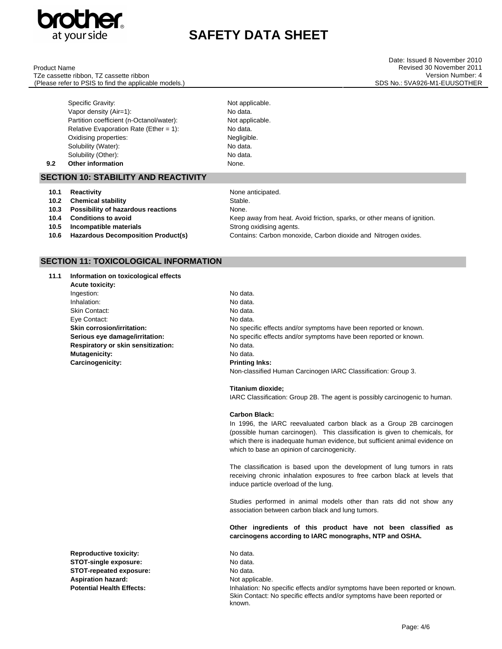

Product Name

TZe cassette ribbon, TZ cassette ribbon (Please refer to PSIS to find the applicable models.)

Date: Issued 8 November 2010 Revised 30 November 2011 Version Number: 4 SDS No.: 5VA926-M1-EUUSOTHER

Specific Gravity:  $\blacksquare$ Vapor density (Air=1): No data. Partition coefficient (n-Octanol/water): Not applicable. Relative Evaporation Rate (Ether  $= 1$ ): No data. Oxidising properties: Negligible. Solubility (Water): No data. Solubility (Other): No data. **9.2 Other information None.** 

### **SECTION 10: STABILITY AND REACTIVITY**

| 10.1 | Reactivity                         | None anticipated.                                                        |
|------|------------------------------------|--------------------------------------------------------------------------|
| 10.2 | <b>Chemical stability</b>          | Stable.                                                                  |
| 10.3 | Possibility of hazardous reactions | None.                                                                    |
| 10.4 | <b>Conditions to avoid</b>         | Keep away from heat. Avoid friction, sparks, or other means of ignition. |
| 10.5 | Incompatible materials             | Strong oxidising agents.                                                 |
| 10.6 | Hazardous Decomposition Product(s) | Contains: Carbon monoxide, Carbon dioxide and Nitrogen oxides.           |

# **SECTION 11: TOXICOLOGICAL INFORMATION**

| 11.1 | Information on toxicological effects |                 |
|------|--------------------------------------|-----------------|
|      | <b>Acute toxicity:</b>               |                 |
|      | Ingestion:                           | No data.        |
|      | Inhalation:                          | No data.        |
|      | <b>Skin Contact:</b>                 | No data.        |
|      | Eye Contact:                         | No data.        |
|      | <b>Skin corrosion/irritation:</b>    | No speci        |
|      | Serious eye damage/irritation:       | No spec         |
|      | Respiratory or skin sensitization:   | No data.        |
|      | Mutagenicity:                        | No data.        |
|      | Carcinogenicity:                     | <b>Printing</b> |
|      |                                      |                 |

**Reproductive toxicity:** No data. **STOT-single exposure:** No data. **STOT-repeated exposure:** No data. Aspiration hazard: Not applicable.

No data. No specific effects and/or symptoms have been reported or known. No specific effects and/or symptoms have been reported or known. **Printing Inks:** Non-classified Human Carcinogen IARC Classification: Group 3.

**Titanium dioxide;**

IARC Classification: Group 2B. The agent is possibly carcinogenic to human.

#### **Carbon Black:**

In 1996, the IARC reevaluated carbon black as a Group 2B carcinogen (possible human carcinogen). This classification is given to chemicals, for which there is inadequate human evidence, but sufficient animal evidence on which to base an opinion of carcinogenicity.

The classification is based upon the development of lung tumors in rats receiving chronic inhalation exposures to free carbon black at levels that induce particle overload of the lung.

Studies performed in animal models other than rats did not show any association between carbon black and lung tumors.

#### **Other ingredients of this product have not been classified as carcinogens according to IARC monographs, NTP and OSHA.**

**Potential Health Effects:** Inhalation: No specific effects and/or symptoms have been reported or known. Skin Contact: No specific effects and/or symptoms have been reported or known.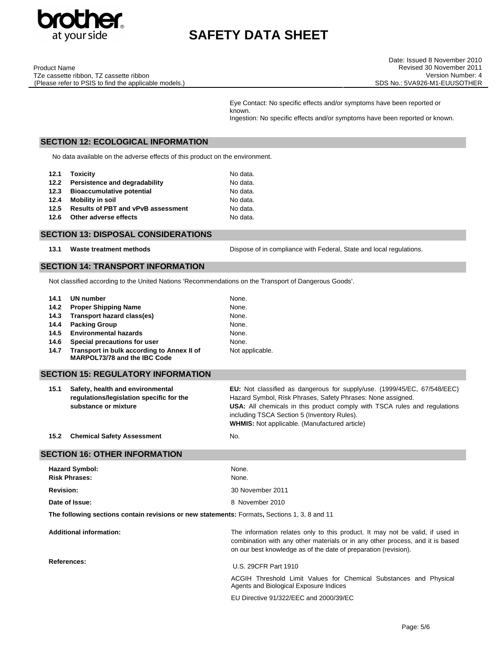

Product Name TZe cassette ribbon, TZ cassette ribbon (Please refer to PSIS to find the applicable models.)

Eye Contact: No specific effects and/or symptoms have been reported or known. Ingestion: No specific effects and/or symptoms have been reported or known.

### **SECTION 12: ECOLOGICAL INFORMATION**

No data available on the adverse effects of this product on the environment.

|      | 12.1 Toxicity                             | No data. |
|------|-------------------------------------------|----------|
|      | 12.2 Persistence and degradability        | No data. |
| 12.3 | <b>Bioaccumulative potential</b>          | No data. |
| 12.4 | Mobility in soil                          | No data. |
| 12.5 | <b>Results of PBT and vPvB assessment</b> | No data. |
| 12.6 | Other adverse effects                     | No data. |

# **SECTION 13: DISPOSAL CONSIDERATIONS**

13.1 **Waste treatment methods Dispose of in compliance with Federal, State and local requlations.** 

### **SECTION 14: TRANSPORT INFORMATION**

Not classified according to the United Nations 'Recommendations on the Transport of Dangerous Goods'.

| 14.1 | UN number                                                                  | None.           |
|------|----------------------------------------------------------------------------|-----------------|
| 14.2 | <b>Proper Shipping Name</b>                                                | None.           |
| 14.3 | Transport hazard class(es)                                                 | None.           |
| 14.4 | <b>Packing Group</b>                                                       | None.           |
| 14.5 | <b>Environmental hazards</b>                                               | None.           |
| 14.6 | Special precautions for user                                               | None.           |
| 14.7 | Transport in bulk according to Annex II of<br>MARPOL73/78 and the IBC Code | Not applicable. |

| <b>SECTION 15: REGULATORY INFORMATION</b> |                              |
|-------------------------------------------|------------------------------|
| Safaty, hoalth and anvironmontal          | <b>Ell</b> Not clossified as |

| 15.1 | Safety, health and environmental         | <b>EU:</b> Not classified as dangerous for supply/use. (1999/45/EC, 67/548/EEC)  |
|------|------------------------------------------|----------------------------------------------------------------------------------|
|      | regulations/legislation specific for the | Hazard Symbol, Risk Phrases, Safety Phrases: None assigned.                      |
|      | substance or mixture                     | <b>USA:</b> All chemicals in this product comply with TSCA rules and regulations |
|      |                                          | including TSCA Section 5 (Inventory Rules).                                      |
|      |                                          | <b>WHMIS:</b> Not applicable. (Manufactured article)                             |
|      |                                          |                                                                                  |

**15.2 Chemical Safety Assessment** No.

#### **SECTION 16: OTHER INFORMATION**

| <b>Hazard Symbol:</b><br><b>Risk Phrases:</b>                                                                                                                                                                                                                       | None.<br>None.                                                                                              |
|---------------------------------------------------------------------------------------------------------------------------------------------------------------------------------------------------------------------------------------------------------------------|-------------------------------------------------------------------------------------------------------------|
| <b>Revision:</b>                                                                                                                                                                                                                                                    | 30 November 2011                                                                                            |
| Date of Issue:                                                                                                                                                                                                                                                      | 8 November 2010                                                                                             |
| The following sections contain revisions or new statements: Formats, Sections 1, 3, 8 and 11                                                                                                                                                                        |                                                                                                             |
| <b>Additional information:</b><br>The information relates only to this product. It may not be valid, if used in<br>combination with any other materials or in any other process, and it is based<br>on our best knowledge as of the date of preparation (revision). |                                                                                                             |
| References:                                                                                                                                                                                                                                                         | U.S. 29CFR Part 1910                                                                                        |
|                                                                                                                                                                                                                                                                     | ACGIH Threshold Limit Values for Chemical Substances and Physical<br>Agents and Biological Exposure Indices |

EU Directive 91/322/EEC and 2000/39/EC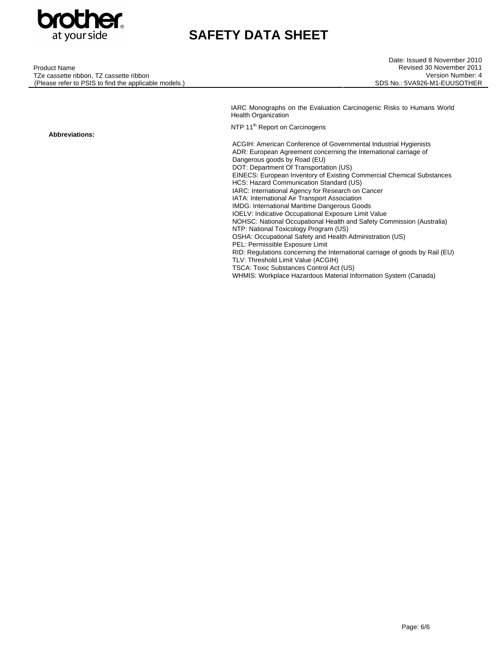

| <b>Product Name</b>                                |
|----------------------------------------------------|
| TZe cassette ribbon, TZ cassette ribbon            |
| Plassa rafar to PSIS to find tha annlicable models |

IARC Monographs on the Evaluation Carcinogenic Risks to Humans World Health Organization

NTP 11<sup>th</sup> Report on Carcinogens

ACGIH: American Conference of Governmental Industrial Hygienists ADR: European Agreement concerning the International carriage of Dangerous goods by Road (EU) DOT: Department Of Transportation (US) EINECS: European Inventory of Existing Commercial Chemical Substances HCS: Hazard Communication Standard (US) IARC: International Agency for Research on Cancer IATA: International Air Transport Association IMDG: International Maritime Dangerous Goods IOELV: Indicative Occupational Exposure Limit Value NOHSC: National Occupational Health and Safety Commission (Australia) NTP: National Toxicology Program (US) OSHA: Occupational Safety and Health Administration (US) PEL: Permissible Exposure Limit RID: Regulations concerning the International carriage of goods by Rail (EU) TLV: Threshold Limit Value (ACGIH) TSCA: Toxic Substances Control Act (US)

WHMIS: Workplace Hazardous Material Information System (Canada)

(Please refer to PSIS to find the applicable models.)

**Abbreviations:**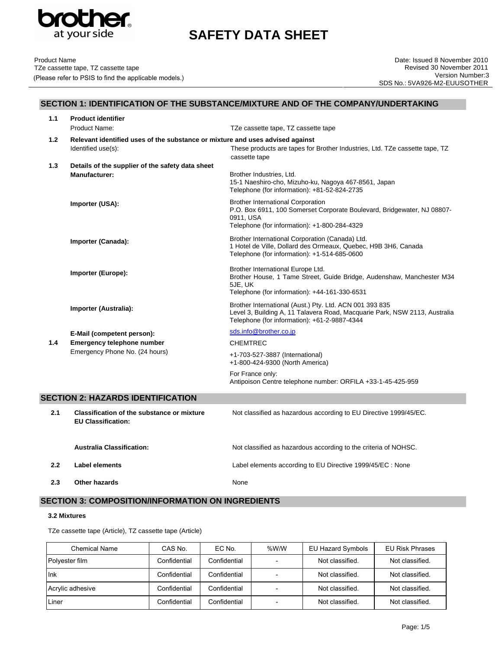

# **SECTION 1: IDENTIFICATION OF THE SUBSTANCE/MIXTURE AND OF THE COMPANY/UNDERTAKING**

| 1.1 | <b>Product identifier</b>                                                                           |                                                                                                                                                                                       |
|-----|-----------------------------------------------------------------------------------------------------|---------------------------------------------------------------------------------------------------------------------------------------------------------------------------------------|
|     | Product Name:                                                                                       | TZe cassette tape, TZ cassette tape                                                                                                                                                   |
| 1.2 | Relevant identified uses of the substance or mixture and uses advised against<br>Identified use(s): | These products are tapes for Brother Industries, Ltd. TZe cassette tape, TZ<br>cassette tape                                                                                          |
| 1.3 | Details of the supplier of the safety data sheet<br><b>Manufacturer:</b>                            | Brother Industries, Ltd.<br>15-1 Naeshiro-cho, Mizuho-ku, Nagoya 467-8561, Japan<br>Telephone (for information): +81-52-824-2735                                                      |
|     | Importer (USA):                                                                                     | <b>Brother International Corporation</b><br>P.O. Box 6911, 100 Somerset Corporate Boulevard, Bridgewater, NJ 08807-<br>0911, USA<br>Telephone (for information): +1-800-284-4329      |
|     | Importer (Canada):                                                                                  | Brother International Corporation (Canada) Ltd.<br>1 Hotel de Ville, Dollard des Ormeaux, Quebec, H9B 3H6, Canada<br>Telephone (for information): +1-514-685-0600                     |
|     | Importer (Europe):                                                                                  | Brother International Europe Ltd.<br>Brother House, 1 Tame Street, Guide Bridge, Audenshaw, Manchester M34<br>5JE, UK<br>Telephone (for information): +44-161-330-6531                |
|     | Importer (Australia):                                                                               | Brother International (Aust.) Pty. Ltd. ACN 001 393 835<br>Level 3, Building A, 11 Talavera Road, Macquarie Park, NSW 2113, Australia<br>Telephone (for information): +61-2-9887-4344 |
|     | E-Mail (competent person):                                                                          | sds.info@brother.co.jp                                                                                                                                                                |
| 1.4 | Emergency telephone number                                                                          | <b>CHEMTREC</b>                                                                                                                                                                       |
|     | Emergency Phone No. (24 hours)                                                                      | +1-703-527-3887 (International)<br>+1-800-424-9300 (North America)                                                                                                                    |
|     |                                                                                                     | For France only:<br>Antipoison Centre telephone number: ORFILA +33-1-45-425-959                                                                                                       |
|     | <b>SECTION 2: HAZARDS IDENTIFICATION</b>                                                            |                                                                                                                                                                                       |
| 2.1 | <b>Classification of the substance or mixture</b><br><b>EU Classification:</b>                      | Not classified as hazardous according to EU Directive 1999/45/EC.                                                                                                                     |
|     | <b>Australia Classification:</b>                                                                    | Not classified as hazardous according to the criteria of NOHSC.                                                                                                                       |
| 2.2 | <b>Label elements</b>                                                                               | Label elements according to EU Directive 1999/45/EC : None                                                                                                                            |
| 2.3 | Other hazards                                                                                       | None                                                                                                                                                                                  |

# **SECTION 3: COMPOSITION/INFORMATION ON INGREDIENTS**

#### **3.2 Mixtures**

TZe cassette tape (Article), TZ cassette tape (Article)

| <b>Chemical Name</b> | CAS No.      | EC No.       | %W/W | EU Hazard Symbols | <b>EU Risk Phrases</b> |
|----------------------|--------------|--------------|------|-------------------|------------------------|
| Polyester film       | Confidential | Confidential |      | Not classified.   | Not classified.        |
| Ink                  | Confidential | Confidential |      | Not classified.   | Not classified.        |
| Acrylic adhesive     | Confidential | Confidential |      | Not classified.   | Not classified.        |
| Liner                | Confidential | Confidential |      | Not classified.   | Not classified.        |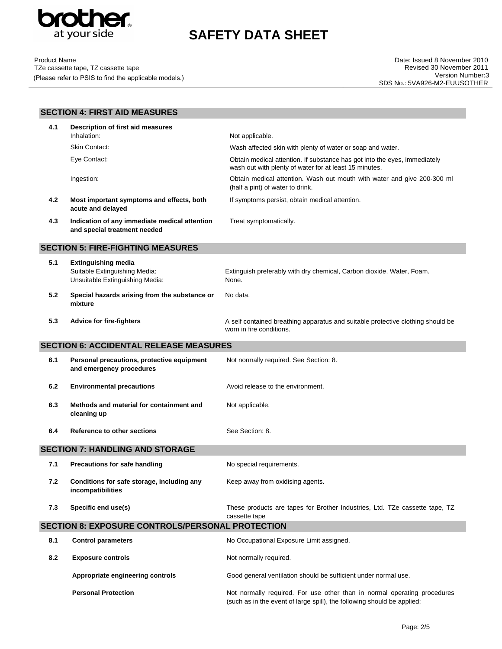

| <b>Product Name</b>                                   |
|-------------------------------------------------------|
| TZe cassette tape, TZ cassette tape                   |
| (Please refer to PSIS to find the applicable models.) |

|                                               | <b>SECTION 4: FIRST AID MEASURES</b>                                                           |                                                                                                                                                     |
|-----------------------------------------------|------------------------------------------------------------------------------------------------|-----------------------------------------------------------------------------------------------------------------------------------------------------|
| 4.1                                           | Description of first aid measures                                                              |                                                                                                                                                     |
|                                               | Inhalation:                                                                                    | Not applicable.                                                                                                                                     |
|                                               | <b>Skin Contact:</b>                                                                           | Wash affected skin with plenty of water or soap and water.                                                                                          |
|                                               | Eye Contact:                                                                                   | Obtain medical attention. If substance has got into the eyes, immediately<br>wash out with plenty of water for at least 15 minutes.                 |
|                                               | Ingestion:                                                                                     | Obtain medical attention. Wash out mouth with water and give 200-300 ml<br>(half a pint) of water to drink.                                         |
| 4.2                                           | Most important symptoms and effects, both<br>acute and delayed                                 | If symptoms persist, obtain medical attention.                                                                                                      |
| 4.3                                           | Indication of any immediate medical attention<br>and special treatment needed                  | Treat symptomatically.                                                                                                                              |
|                                               | <b>SECTION 5: FIRE-FIGHTING MEASURES</b>                                                       |                                                                                                                                                     |
| 5.1                                           | <b>Extinguishing media</b><br>Suitable Extinguishing Media:<br>Unsuitable Extinguishing Media: | Extinguish preferably with dry chemical, Carbon dioxide, Water, Foam.<br>None.                                                                      |
| 5.2                                           | Special hazards arising from the substance or<br>mixture                                       | No data.                                                                                                                                            |
| 5.3                                           | <b>Advice for fire-fighters</b>                                                                | A self contained breathing apparatus and suitable protective clothing should be<br>worn in fire conditions.                                         |
| <b>SECTION 6: ACCIDENTAL RELEASE MEASURES</b> |                                                                                                |                                                                                                                                                     |
| 6.1                                           | Personal precautions, protective equipment<br>and emergency procedures                         | Not normally required. See Section: 8.                                                                                                              |
| 6.2                                           | <b>Environmental precautions</b>                                                               | Avoid release to the environment.                                                                                                                   |
| 6.3                                           | Methods and material for containment and<br>cleaning up                                        | Not applicable.                                                                                                                                     |
| 6.4                                           | <b>Reference to other sections</b>                                                             | See Section: 8.                                                                                                                                     |
|                                               | <b>SECTION 7: HANDLING AND STORAGE</b>                                                         |                                                                                                                                                     |
| 7.1                                           | <b>Precautions for safe handling</b>                                                           | No special requirements.                                                                                                                            |
| 7.2                                           | Conditions for safe storage, including any<br>incompatibilities                                | Keep away from oxidising agents.                                                                                                                    |
| 7.3                                           | Specific end use(s)                                                                            | These products are tapes for Brother Industries, Ltd. TZe cassette tape, TZ<br>cassette tape                                                        |
|                                               | <b>SECTION 8: EXPOSURE CONTROLS/PERSONAL PROTECTION</b>                                        |                                                                                                                                                     |
| 8.1                                           | <b>Control parameters</b>                                                                      | No Occupational Exposure Limit assigned.                                                                                                            |
| 8.2                                           | <b>Exposure controls</b>                                                                       | Not normally required.                                                                                                                              |
|                                               | Appropriate engineering controls                                                               | Good general ventilation should be sufficient under normal use.                                                                                     |
|                                               | <b>Personal Protection</b>                                                                     | Not normally required. For use other than in normal operating procedures<br>(such as in the event of large spill), the following should be applied: |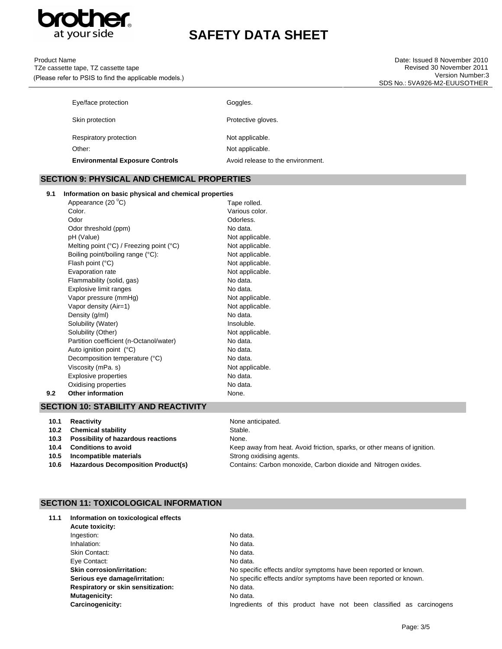

| <b>Product Name</b>                                   |
|-------------------------------------------------------|
| TZe cassette tape, TZ cassette tape                   |
| (Please refer to PSIS to find the applicable models.) |

| <b>Environmental Exposure Controls</b> | Avoid release to the environment. |
|----------------------------------------|-----------------------------------|
| Other:                                 | Not applicable.                   |
| Respiratory protection                 | Not applicable.                   |
| Skin protection                        | Protective gloves.                |
| Eye/face protection                    | Goggles.                          |

### **SECTION 9: PHYSICAL AND CHEMICAL PROPERTIES**

### **9.1 Information on basic physical and chemical properties**

|     | Appearance (20 °C)                                         | Tape rolled.    |
|-----|------------------------------------------------------------|-----------------|
|     | Color.                                                     | Various color.  |
|     | Odor                                                       | Odorless.       |
|     | Odor threshold (ppm)                                       | No data.        |
|     | pH (Value)                                                 | Not applicable. |
|     | Melting point $(^{\circ}C)$ / Freezing point $(^{\circ}C)$ | Not applicable. |
|     | Boiling point/boiling range (°C):                          | Not applicable. |
|     | Flash point (°C)                                           | Not applicable. |
|     | Evaporation rate                                           | Not applicable. |
|     | Flammability (solid, gas)                                  | No data.        |
|     | Explosive limit ranges                                     | No data.        |
|     | Vapor pressure (mmHg)                                      | Not applicable. |
|     | Vapor density (Air=1)                                      | Not applicable. |
|     | Density (g/ml)                                             | No data.        |
|     | Solubility (Water)                                         | Insoluble.      |
|     | Solubility (Other)                                         | Not applicable. |
|     | Partition coefficient (n-Octanol/water)                    | No data.        |
|     | Auto ignition point (°C)                                   | No data.        |
|     | Decomposition temperature (°C)                             | No data.        |
|     | Viscosity (mPa. s)                                         | Not applicable. |
|     | Explosive properties                                       | No data.        |
|     | Oxidising properties                                       | No data.        |
| 9.2 | <b>Other information</b>                                   | None.           |
|     |                                                            |                 |

# **SECTION 10: STABILITY AND REACTIVITY**

| 10.1 | Reactivity                         | None anticipated.                                                        |
|------|------------------------------------|--------------------------------------------------------------------------|
| 10.2 | <b>Chemical stability</b>          | Stable.                                                                  |
| 10.3 | Possibility of hazardous reactions | None.                                                                    |
| 10.4 | <b>Conditions to avoid</b>         | Keep away from heat. Avoid friction, sparks, or other means of ignition. |
| 10.5 | Incompatible materials             | Strong oxidising agents.                                                 |
| 10.6 | Hazardous Decomposition Product(s) | Contains: Carbon monoxide, Carbon dioxide and Nitrogen oxides.           |

# **SECTION 11: TOXICOLOGICAL INFORMATION**

| 11.1 | Information on toxicological effects |                                                                        |
|------|--------------------------------------|------------------------------------------------------------------------|
|      | Acute toxicity:                      |                                                                        |
|      | Ingestion:                           | No data.                                                               |
|      | Inhalation:                          | No data.                                                               |
|      | Skin Contact:                        | No data.                                                               |
|      | Eye Contact:                         | No data.                                                               |
|      | <b>Skin corrosion/irritation:</b>    | No specific effects and/or symptoms have been reported or known.       |
|      | Serious eye damage/irritation:       | No specific effects and/or symptoms have been reported or known.       |
|      | Respiratory or skin sensitization:   | No data.                                                               |
|      | <b>Mutagenicity:</b>                 | No data.                                                               |
|      | Carcinogenicity:                     | Ingredients of this product have not been classified as<br>carcinogens |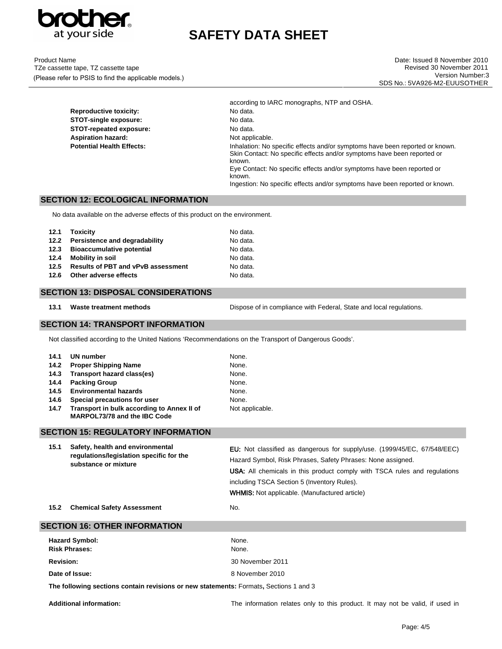

Product Name TZe cassette tape, TZ cassette tape (Please refer to PSIS to find the applicable models.)

**STOT-repeated exposure:** 

according to IARC monographs, NTP and OSHA. **Reproductive toxicity:** No data. **STOT-single exposure:** No data.<br> **STOT-repeated exposure:** No data. Aspiration hazard: Not applicable. **Potential Health Effects:** Inhalation: No specific effects and/or symptoms have been reported or known. Skin Contact: No specific effects and/or symptoms have been reported or known. Eye Contact: No specific effects and/or symptoms have been reported or known. Ingestion: No specific effects and/or symptoms have been reported or known.

# **SECTION 12: ECOLOGICAL INFORMATION**

No data available on the adverse effects of this product on the environment.

|      | 12.1 Toxicity                             | No data. |
|------|-------------------------------------------|----------|
|      | 12.2 Persistence and degradability        | No data. |
|      | 12.3 Bioaccumulative potential            | No data. |
| 12.4 | <b>Mobility in soil</b>                   | No data. |
| 12.5 | <b>Results of PBT and vPvB assessment</b> | No data. |
| 12.6 | Other adverse effects                     | No data. |

### **SECTION 13: DISPOSAL CONSIDERATIONS**

13.1 **Waste treatment methods** Dispose of in compliance with Federal, State and local regulations.

### **SECTION 14: TRANSPORT INFORMATION**

Not classified according to the United Nations 'Recommendations on the Transport of Dangerous Goods'.

|      | 14.1 UN number                                                             | None.           |
|------|----------------------------------------------------------------------------|-----------------|
| 14.2 | <b>Proper Shipping Name</b>                                                | None.           |
| 14.3 | Transport hazard class(es)                                                 | None.           |
| 14.4 | <b>Packing Group</b>                                                       | None.           |
|      | 14.5 Environmental hazards                                                 | None.           |
| 14.6 | Special precautions for user                                               | None.           |
| 14.7 | Transport in bulk according to Annex II of<br>MARPOL73/78 and the IBC Code | Not applicable. |

### **SECTION 15: REGULATORY INFORMATION**

| 15.1 | Safety, health and environmental<br>regulations/legislation specific for the<br>substance or mixture | <b>EU:</b> Not classified as dangerous for supply/use. (1999/45/EC, 67/548/EEC)  |
|------|------------------------------------------------------------------------------------------------------|----------------------------------------------------------------------------------|
|      |                                                                                                      | Hazard Symbol, Risk Phrases, Safety Phrases: None assigned.                      |
|      |                                                                                                      | <b>USA:</b> All chemicals in this product comply with TSCA rules and regulations |
|      |                                                                                                      | including TSCA Section 5 (Inventory Rules).                                      |
|      |                                                                                                      | <b>WHMIS:</b> Not applicable. (Manufactured article)                             |
|      |                                                                                                      |                                                                                  |

15.2 Chemical Safety Assessment No.

| <b>SECTION 16: OTHER INFORMATION</b>                                                  |                  |  |
|---------------------------------------------------------------------------------------|------------------|--|
| <b>Hazard Symbol:</b><br><b>Risk Phrases:</b>                                         | None.<br>None.   |  |
| <b>Revision:</b>                                                                      | 30 November 2011 |  |
| Date of Issue:                                                                        | 8 November 2010  |  |
| The following sections contain revisions or new statements: Formats, Sections 1 and 3 |                  |  |

**Additional information:** The information relates only to this product. It may not be valid, if used in